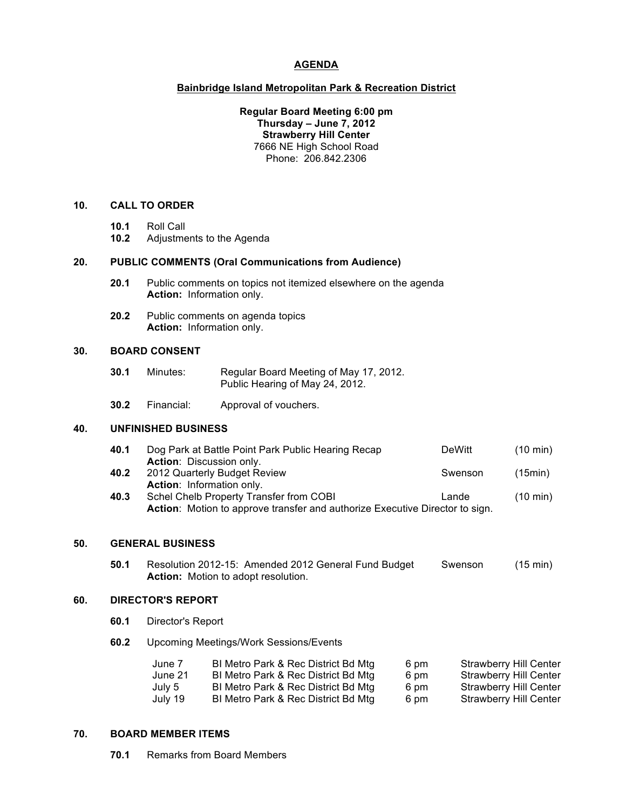# **AGENDA**

### **Bainbridge Island Metropolitan Park & Recreation District**

**Regular Board Meeting 6:00 pm Thursday – June 7, 2012 Strawberry Hill Center** 7666 NE High School Road Phone: 206.842.2306

## **10. CALL TO ORDER**

- **10.1** Roll Call
- **10.2** Adjustments to the Agenda

#### **20. PUBLIC COMMENTS (Oral Communications from Audience)**

- **20.1** Public comments on topics not itemized elsewhere on the agenda **Action:** Information only.
- **20.2** Public comments on agenda topics **Action:** Information only.

# **30. BOARD CONSENT**

- **30.1** Minutes: Regular Board Meeting of May 17, 2012. Public Hearing of May 24, 2012.
- **30.2** Financial: Approval of vouchers.

# **40. UNFINISHED BUSINESS**

| 40.1 | Dog Park at Battle Point Park Public Hearing Recap | DeWitt  | $(10 \text{ min})$ |
|------|----------------------------------------------------|---------|--------------------|
|      | <b>Action:</b> Discussion only.                    |         |                    |
| 40.2 | 2012 Quarterly Budget Review                       | Swenson | (15min)            |
|      | <b>Action:</b> Information only.                   |         |                    |
| 40.3 | Schel Chelb Property Transfer from COBI            | Lande   | $(10 \text{ min})$ |

**Action**: Motion to approve transfer and authorize Executive Director to sign.

### **50. GENERAL BUSINESS**

**50.1** Resolution 2012-15: Amended 2012 General Fund Budget Swenson (15 min) **Action:** Motion to adopt resolution.

# **60. DIRECTOR'S REPORT**

- **60.1** Director's Report
- **60.2** Upcoming Meetings/Work Sessions/Events

| June 7  | BI Metro Park & Rec District Bd Mtg | 6 pm | <b>Strawberry Hill Center</b> |
|---------|-------------------------------------|------|-------------------------------|
| June 21 | BI Metro Park & Rec District Bd Mtg | 6 pm | Strawberry Hill Center        |
| July 5  | BI Metro Park & Rec District Bd Mtg | 6 pm | Strawberry Hill Center        |
| July 19 | BI Metro Park & Rec District Bd Mtg | 6 pm | Strawberry Hill Center        |

#### **70. BOARD MEMBER ITEMS**

**70.1** Remarks from Board Members